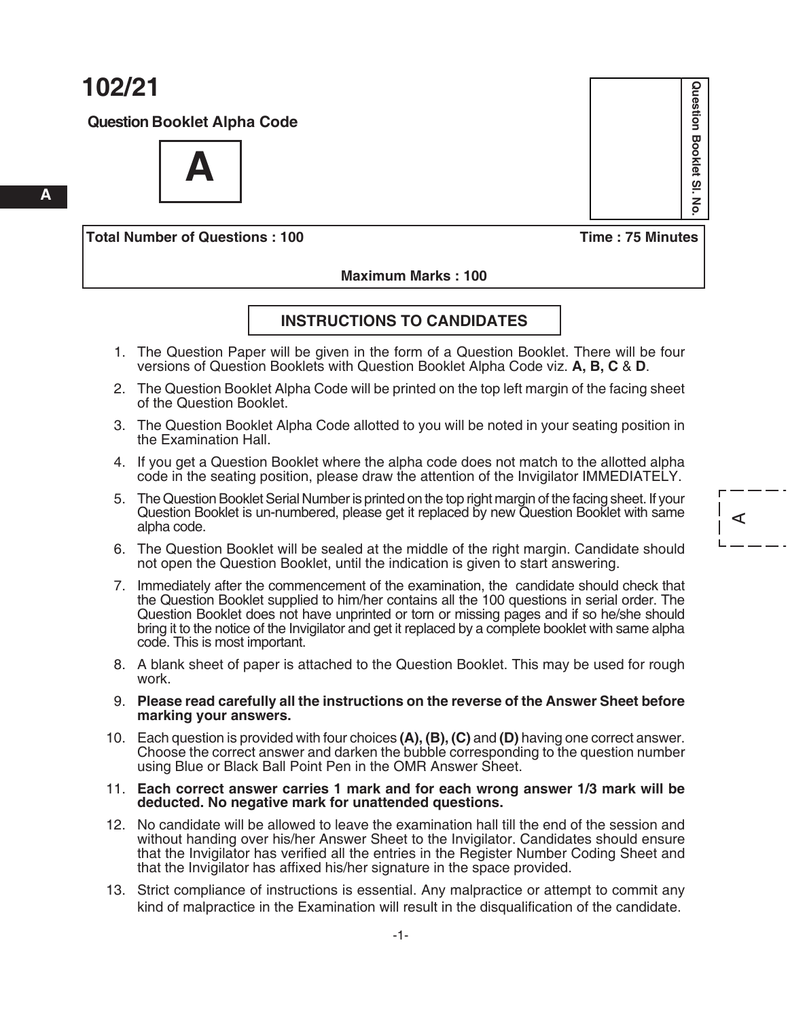**A**

**Question Booklet Alpha Code**



**Total Number of Questions : 100 Time : 75 Minutes**

Question Booklet SI. **Question Booklet Sl. No.** δ

A

 **Maximum Marks : 100**

#### **INSTruCTIoNS To CANdIdATeS**

- 1. The Question Paper will be given in the form of a Question Booklet. There will be four versions of Question Booklets with Question Booklet Alpha Code viz. **A, B, C** & **d**.
- 2. The Question Booklet Alpha Code will be printed on the top left margin of the facing sheet of the Question Booklet.
- 3. The Question Booklet Alpha Code allotted to you will be noted in your seating position in the Examination Hall.
- 4. If you get a Question Booklet where the alpha code does not match to the allotted alpha code in the seating position, please draw the attention of the Invigilator IMMEDIATELY.
- 5. The Question Booklet Serial Number is printed on the top right margin of the facing sheet. If your Question Booklet is un-numbered, please get it replaced by new Question Booklet with same alpha code.
- 6. The Question Booklet will be sealed at the middle of the right margin. Candidate should not open the Question Booklet, until the indication is given to start answering.
- 7. Immediately after the commencement of the examination, the candidate should check that the Question Booklet supplied to him/her contains all the 100 questions in serial order. The Question Booklet does not have unprinted or torn or missing pages and if so he/she should bring it to the notice of the Invigilator and get it replaced by a complete booklet with same alpha code. This is most important.
- 8. A blank sheet of paper is attached to the Question Booklet. This may be used for rough work.
- 9. **Please read carefully all the instructions on the reverse of the Answer Sheet before marking your answers.**
- 10. Each question is provided with four choices **(A), (B), (C)** and **(d)** having one correct answer. Choose the correct answer and darken the bubble corresponding to the question number using Blue or Black Ball Point Pen in the OmR Answer Sheet.
- 11. **each correct answer carries 1 mark and for each wrong answer 1/3 mark will be deducted. No negative mark for unattended questions.**
- 12. No candidate will be allowed to leave the examination hall till the end of the session and without handing over his/her Answer Sheet to the Invigilator. Candidates should ensure that the Invigilator has verified all the entries in the Register Number Coding Sheet and that the Invigilator has affixed his/her signature in the space provided.
- 13. Strict compliance of instructions is essential. Any malpractice or attempt to commit any kind of malpractice in the Examination will result in the disqualification of the candidate.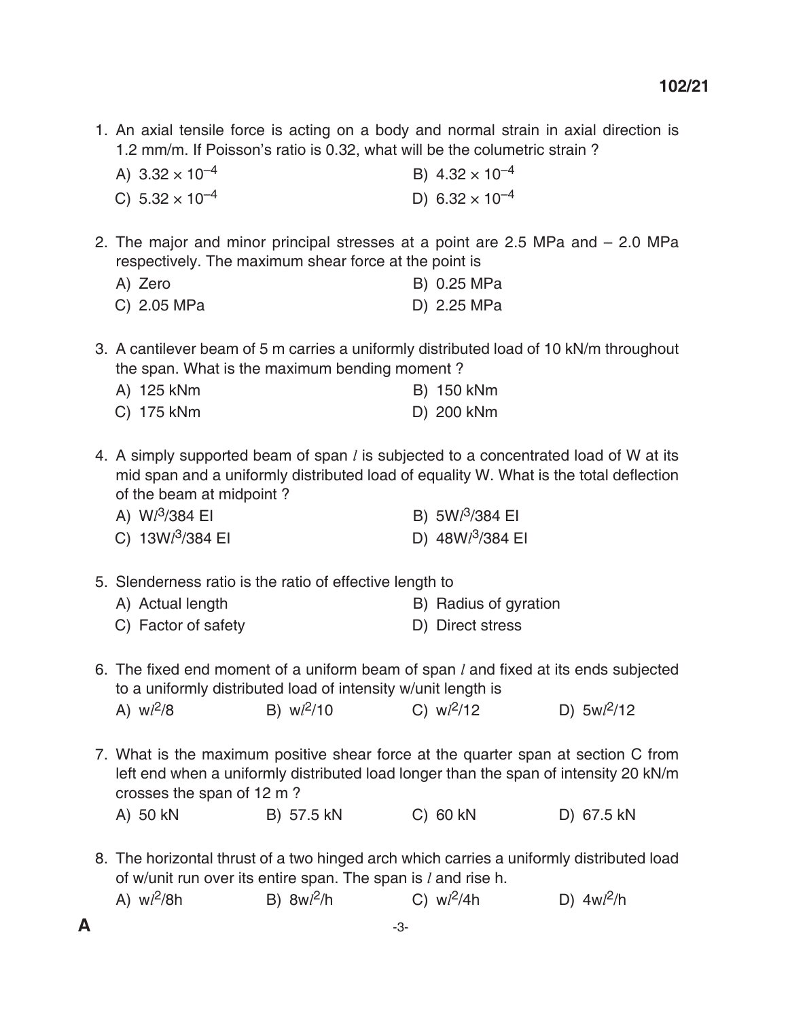1. An axial tensile force is acting on a body and normal strain in axial direction is 1.2 mm/m. If Poisson's ratio is 0.32, what will be the columetric strain ?

| A) $3.32 \times 10^{-4}$ | B) $4.32 \times 10^{-4}$          |
|--------------------------|-----------------------------------|
| C) $5.32 \times 10^{-4}$ | D) 6.32 $\times$ 10 <sup>-4</sup> |

2. The major and minor principal stresses at a point are 2.5 mPa and – 2.0 mPa respectively. The maximum shear force at the point is

| A) Zero     | B) 0.25 MPa |
|-------------|-------------|
| C) 2.05 MPa | D) 2.25 MPa |

3. A cantilever beam of 5 m carries a uniformly distributed load of 10 kN/m throughout the span. What is the maximum bending moment ?

| A) 125 kNm | B) 150 kNm |
|------------|------------|
| C) 175 kNm | D) 200 kNm |

4. A simply supported beam of span *l* is subjected to a concentrated load of W at its mid span and a uniformly distributed load of equality W. What is the total deflection of the beam at midpoint ?

| A) $Wl^3/384$ EI   | B) $5Wl^3/384$ El  |
|--------------------|--------------------|
| C) $13Wl^3/384$ El | D) $48Wl^3/384$ EI |

5. Slenderness ratio is the ratio of effective length to

| A) Actual length                                                        | B) Radius of gyration                        |
|-------------------------------------------------------------------------|----------------------------------------------|
| $\bigcap_{i=1}^n$ $\bigcap_{i=1}^n$ $\bigcap_{i=1}^n$ $\bigcap_{i=1}^n$ | $\mathbb{R}^n$ $\mathbb{R}^n$ $\mathbb{R}^n$ |

- C) Factor of safety D) Direct stress
- 6. The fixed end moment of a uniform beam of span *l* and fixed at its ends subjected to a uniformly distributed load of intensity w/unit length is

| A) $w l^2/8$<br>B) $w l^2 / 10$<br>C) $w l^2 / 12$ | D) $5wl^2/12$ |
|----------------------------------------------------|---------------|
|----------------------------------------------------|---------------|

7. What is the maximum positive shear force at the quarter span at section C from left end when a uniformly distributed load longer than the span of intensity 20 kN/m crosses the span of 12 m ?

A) 50 kN B) 57.5 kN C) 60 kN D) 67.5 kN

8. The horizontal thrust of a two hinged arch which carries a uniformly distributed load of w/unit run over its entire span. The span is *l* and rise h.

| A) $w l^2/8h$ | B) $8w l^2/h$ | C) $w l^2 / 4h$ | D) $4wl^2/h$ |
|---------------|---------------|-----------------|--------------|
|               |               |                 |              |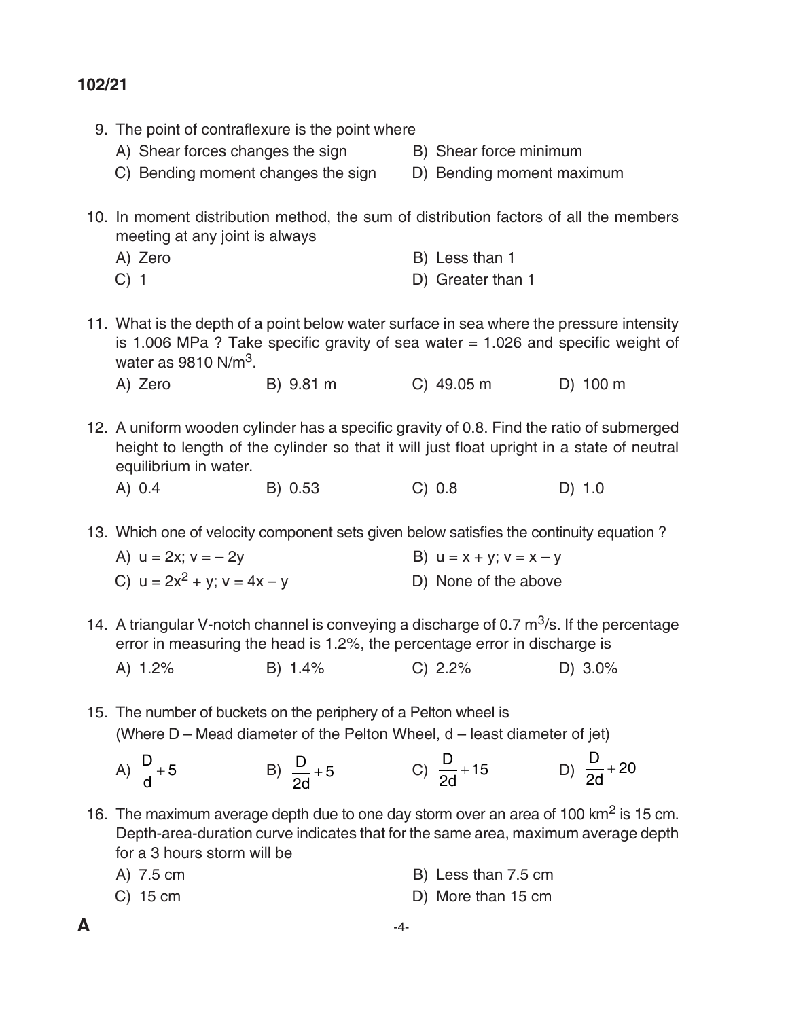| 9. The point of contraflexure is the point where                                                                            |           |                                                                                           |          |
|-----------------------------------------------------------------------------------------------------------------------------|-----------|-------------------------------------------------------------------------------------------|----------|
| A) Shear forces changes the sign                                                                                            |           | B) Shear force minimum                                                                    |          |
| C) Bending moment changes the sign                                                                                          |           | D) Bending moment maximum                                                                 |          |
|                                                                                                                             |           |                                                                                           |          |
| 10. In moment distribution method, the sum of distribution factors of all the members<br>meeting at any joint is always     |           |                                                                                           |          |
| A) Zero                                                                                                                     |           | B) Less than 1                                                                            |          |
| $C)$ 1                                                                                                                      |           | D) Greater than 1                                                                         |          |
|                                                                                                                             |           |                                                                                           |          |
| 11. What is the depth of a point below water surface in sea where the pressure intensity<br>water as $9810 \text{ N/m}^3$ . |           | is 1.006 MPa ? Take specific gravity of sea water $= 1.026$ and specific weight of        |          |
| A) Zero                                                                                                                     | B) 9.81 m | $C)$ 49.05 m                                                                              | D) 100 m |
|                                                                                                                             |           |                                                                                           |          |
| 12. A uniform wooden cylinder has a specific gravity of 0.8. Find the ratio of submerged<br>equilibrium in water.           |           | height to length of the cylinder so that it will just float upright in a state of neutral |          |
| A) 0.4                                                                                                                      | B) 0.53   | C) 0.8                                                                                    | D) 1.0   |
| 13. Which one of velocity component sets given below satisfies the continuity equation?                                     |           |                                                                                           |          |
| A) $u = 2x$ ; $v = -2y$                                                                                                     |           | B) $u = x + y$ ; $v = x - y$                                                              |          |
| C) $u = 2x^2 + y$ ; $v = 4x - y$                                                                                            |           | D) None of the above                                                                      |          |
| 14. A triangular V-notch channel is conveying a discharge of 0.7 $\mathrm{m}^3$ /s. If the percentage                       |           |                                                                                           |          |
|                                                                                                                             |           | error in measuring the head is 1.2%, the percentage error in discharge is                 |          |
| A) 1.2%                                                                                                                     | B) 1.4%   | C) 2.2%                                                                                   | D) 3.0%  |
|                                                                                                                             |           |                                                                                           |          |
| 15. The number of buckets on the periphery of a Pelton wheel is                                                             |           |                                                                                           |          |
|                                                                                                                             |           | (Where D - Mead diameter of the Pelton Wheel, d - least diameter of jet)                  |          |

 $(A) \frac{D}{A}$ d  $+ 5$  B)  $\frac{D}{A}$ 2d +5 C)  $\frac{D}{2d}$  $+15$  D) d 2d  $+ 20$ 

16. The maximum average depth due to one day storm over an area of 100 km2 is 15 cm. Depth-area-duration curve indicates that for the same area, maximum average depth for a 3 hours storm will be

| A) 7.5 cm  | B) Less than 7.5 cm |
|------------|---------------------|
| $C)$ 15 cm | D) More than 15 cm  |

- $\mathsf{A}$   $-4$ -
-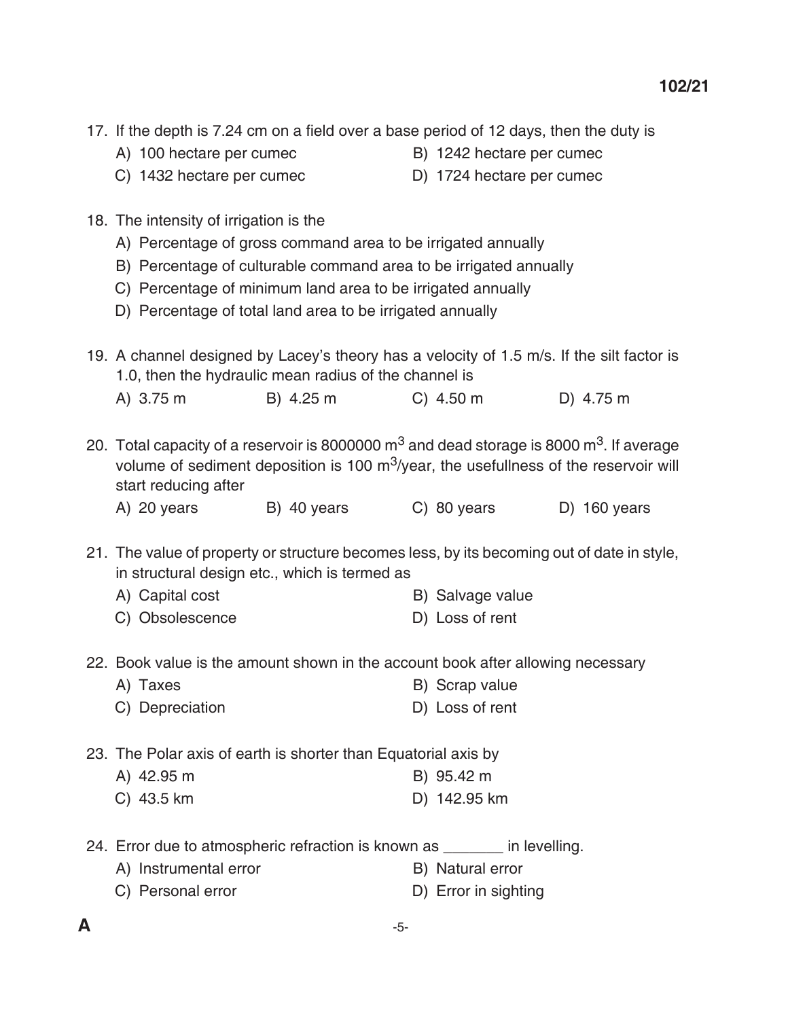- 17. If the depth is 7.24 cm on a field over a base period of 12 days, then the duty is
	- A) 100 hectare per cumec B) 1242 hectare per cumec
		-
	- C) 1432 hectare per cumec D) 1724 hectare per cumec
- 18. The intensity of irrigation is the
	- A) Percentage of gross command area to be irrigated annually
	- B) Percentage of culturable command area to be irrigated annually
	- C) Percentage of minimum land area to be irrigated annually
	- D) Percentage of total land area to be irrigated annually
- 19. A channel designed by lacey's theory has a velocity of 1.5 m/s. If the silt factor is 1.0, then the hydraulic mean radius of the channel is
	- A) 3.75 m B) 4.25 m C) 4.50 m d) 4.75 m

20. Total capacity of a reservoir is 8000000  $\text{m}^3$  and dead storage is 8000  $\text{m}^3$ . If average volume of sediment deposition is 100  $m^3$ /year, the usefullness of the reservoir will start reducing after

| A) 20 years | B) 40 years | C) 80 years | D) 160 years |
|-------------|-------------|-------------|--------------|
|-------------|-------------|-------------|--------------|

21. The value of property or structure becomes less, by its becoming out of date in style, in structural design etc., which is termed as

- A) Capital cost B) Salvage value
- C) Obsolescence D) Loss of rent
- 22. Book value is the amount shown in the account book after allowing necessary
	- A) Taxes B) Scrap value C) Depreciation D) Loss of rent

23. The Polar axis of earth is shorter than Equatorial axis by

- A) 42.95 m B) 95.42 m
- C) 43.5 km D) 142.95 km

24. Error due to atmospheric refraction is known as  $\qquad \qquad$  in levelling.

- A) Instrumental error B) Natural error
- C) Personal error D) Error in sighting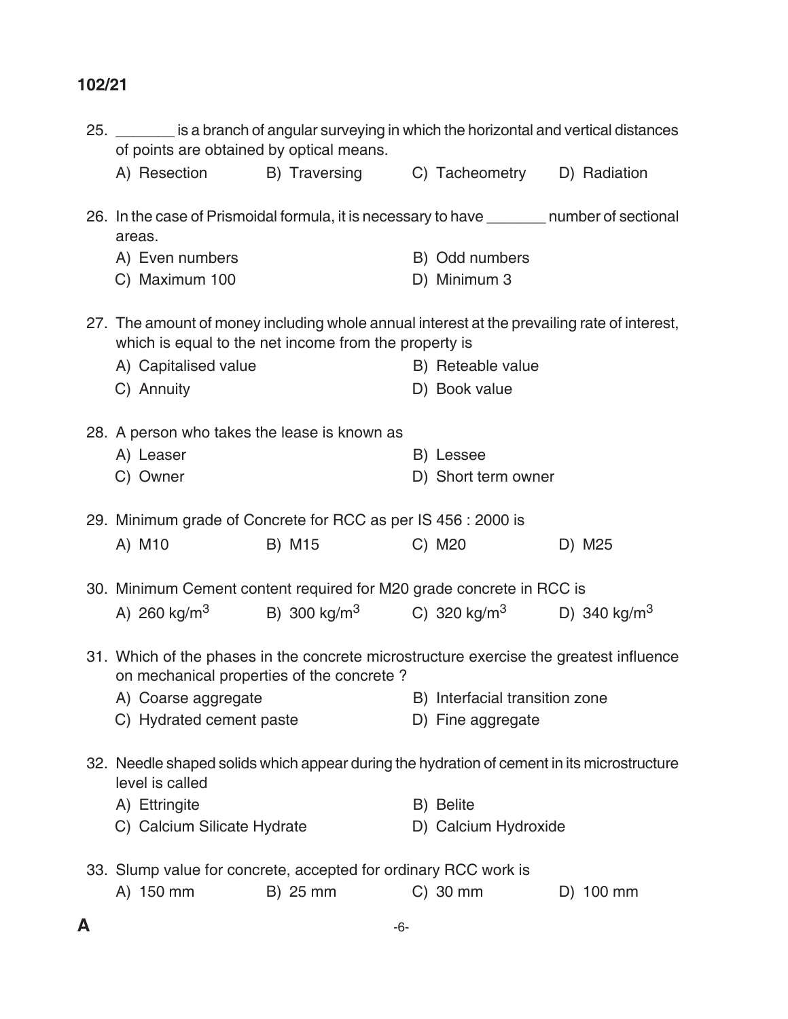| 25. ________ is a branch of angular surveying in which the horizontal and vertical distances<br>of points are obtained by optical means. |                                                                            |                      |                          |
|------------------------------------------------------------------------------------------------------------------------------------------|----------------------------------------------------------------------------|----------------------|--------------------------|
|                                                                                                                                          | A) Resection B) Traversing C) Tacheometry D) Radiation                     |                      |                          |
| 26. In the case of Prismoidal formula, it is necessary to have ________ number of sectional<br>areas.                                    |                                                                            |                      |                          |
| A) Even numbers                                                                                                                          |                                                                            | B) Odd numbers       |                          |
| C) Maximum 100                                                                                                                           |                                                                            | D) Minimum 3         |                          |
| 27. The amount of money including whole annual interest at the prevailing rate of interest,                                              | which is equal to the net income from the property is                      |                      |                          |
| A) Capitalised value                                                                                                                     |                                                                            | B) Reteable value    |                          |
| C) Annuity                                                                                                                               |                                                                            | D) Book value        |                          |
| 28. A person who takes the lease is known as                                                                                             |                                                                            |                      |                          |
| A) Leaser                                                                                                                                |                                                                            | B) Lessee            |                          |
| C) Owner                                                                                                                                 |                                                                            | D) Short term owner  |                          |
|                                                                                                                                          |                                                                            |                      |                          |
| 29. Minimum grade of Concrete for RCC as per IS 456 : 2000 is                                                                            |                                                                            |                      |                          |
| A) M10                                                                                                                                   | B) M15                                                                     | C) M20               | D) M25                   |
| 30. Minimum Cement content required for M20 grade concrete in RCC is                                                                     |                                                                            |                      |                          |
|                                                                                                                                          | A) 260 kg/m <sup>3</sup> B) 300 kg/m <sup>3</sup> C) 320 kg/m <sup>3</sup> |                      | D) 340 kg/m <sup>3</sup> |
|                                                                                                                                          |                                                                            |                      |                          |
| 31. Which of the phases in the concrete microstructure exercise the greatest influence                                                   | on mechanical properties of the concrete?                                  |                      |                          |
|                                                                                                                                          | A) Coarse aggregate B) Interfacial transition zone                         |                      |                          |
| C) Hydrated cement paste                                                                                                                 |                                                                            | D) Fine aggregate    |                          |
| 32. Needle shaped solids which appear during the hydration of cement in its microstructure                                               |                                                                            |                      |                          |
| level is called                                                                                                                          |                                                                            |                      |                          |
| A) Ettringite                                                                                                                            |                                                                            | B) Belite            |                          |
| C) Calcium Silicate Hydrate                                                                                                              |                                                                            | D) Calcium Hydroxide |                          |
| 33. Slump value for concrete, accepted for ordinary RCC work is                                                                          |                                                                            |                      |                          |
| A) 150 mm                                                                                                                                | B) 25 mm                                                                   | $C)$ 30 mm           | D) 100 mm                |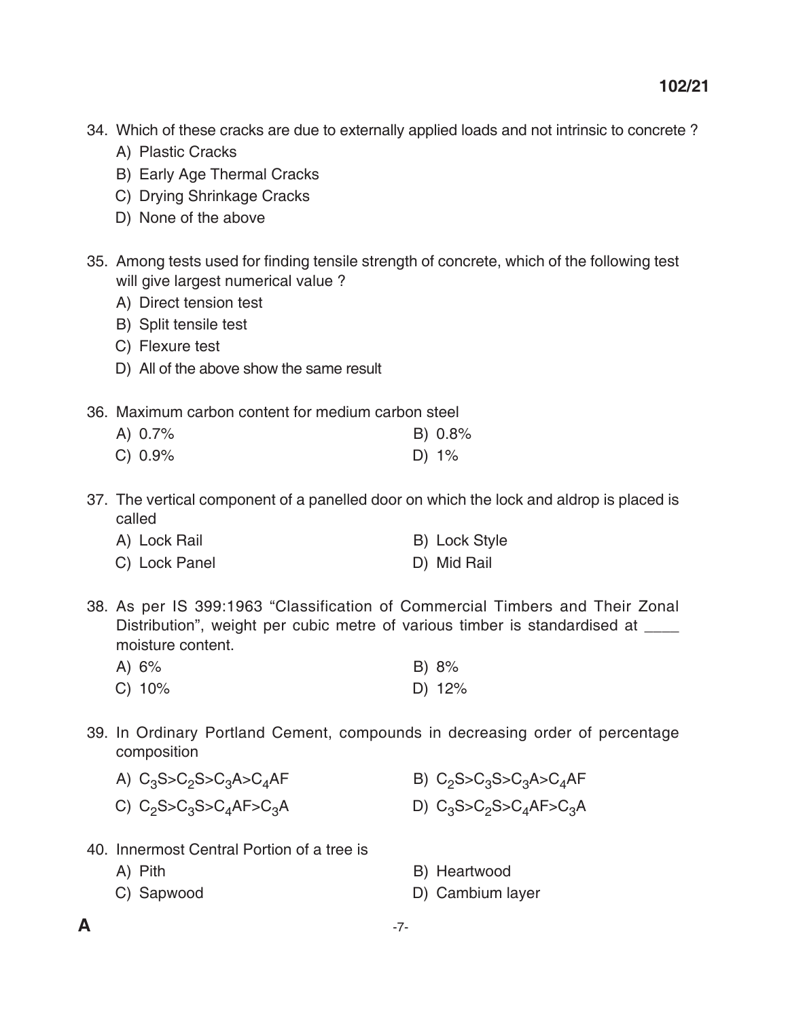- 34. Which of these cracks are due to externally applied loads and not intrinsic to concrete ?
	- A) Plastic Cracks
	- B) Early Age Thermal Cracks
	- C) Drying Shrinkage Cracks
	- D) None of the above
- 35. Among tests used for finding tensile strength of concrete, which of the following test will give largest numerical value ?
	- A) Direct tension test
	- B) Split tensile test
	- C) Flexure test
	- D) All of the above show the same result
- 36. maximum carbon content for medium carbon steel

| A) $0.7\%$ | B) 0.8% |
|------------|---------|
| C) 0.9%    | D) 1%   |

 37. The vertical component of a panelled door on which the lock and aldrop is placed is called

| A) Lock Rail  | <b>B)</b> Lock Style |
|---------------|----------------------|
| C) Lock Panel | D) Mid Rail          |

 38. As per IS 399:1963 "Classification of Commercial Timbers and Their Zonal Distribution", weight per cubic metre of various timber is standardised at \_\_\_\_ moisture content.

| A) $6\%$ | B) 8%    |
|----------|----------|
| C) 10%   | D) $12%$ |

 39. In Ordinary Portland Cement, compounds in decreasing order of percentage composition

| A) $C_3S > C_2S > C_3A > C_4AF$ | B) $C_2S > C_3S > C_3A > C_4AF$ |
|---------------------------------|---------------------------------|
| C) $C_2S > C_3S > C_4AF > C_3A$ | D) $C_3S > C_2S > C_4AF > C_3A$ |

- 40. Innermost Central Portion of a tree is
	- -
	- A) Pith B) Heartwood
	- C) Sapwood D) Cambium layer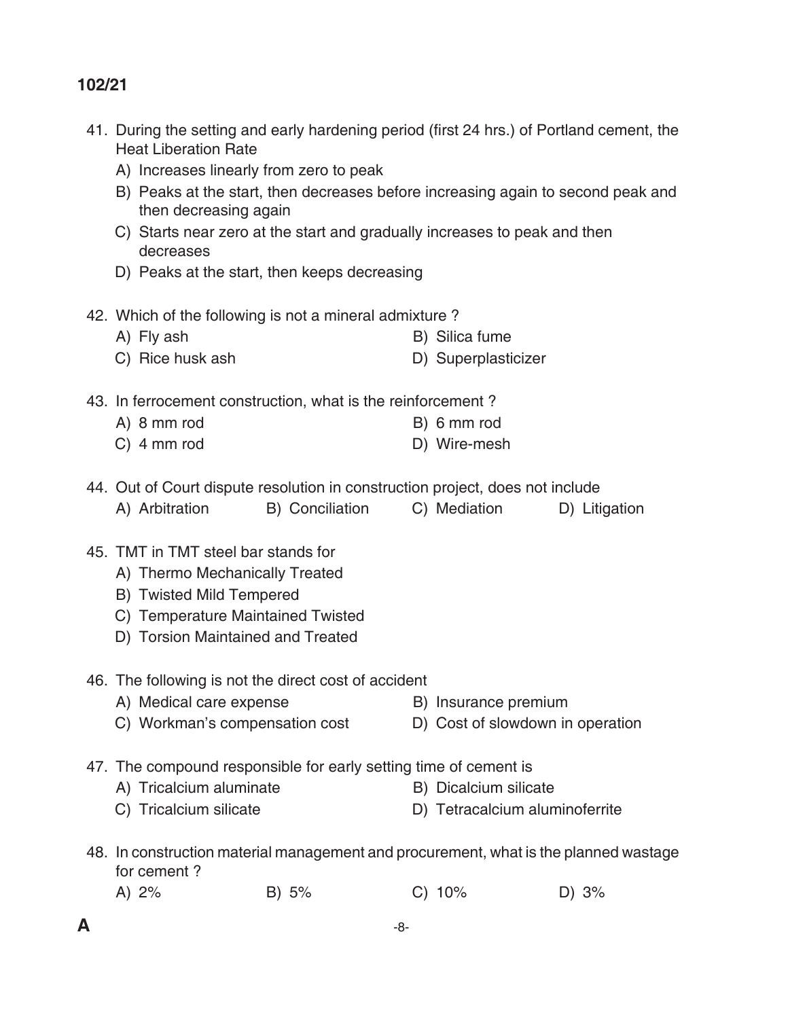- 41. During the setting and early hardening period (first 24 hrs.) of Portland cement, the **Heat Liberation Rate** 
	- A) Increases linearly from zero to peak
	- B) Peaks at the start, then decreases before increasing again to second peak and then decreasing again
	- C) Starts near zero at the start and gradually increases to peak and then decreases
	- D) Peaks at the start, then keeps decreasing
- 42. Which of the following is not a mineral admixture ?
	- A) Fly ash B) Silica fume
	- C) Rice husk ash distributed by Superplasticizer
- 43. In ferrocement construction, what is the reinforcement ?
	- A) 8 mm rod B) 6 mm rod C) 4 mm rod D) Wire-mesh
- 44. Out of Court dispute resolution in construction project, does not include
	- A) Arbitration B) Conciliation C) Mediation D) Litigation
- 45. TMT in TMT steel bar stands for
	- A) Thermo Mechanically Treated
	- **B) Twisted Mild Tempered**
	- C) Temperature Maintained Twisted
	- D) Torsion Maintained and Treated
- 46. The following is not the direct cost of accident
	- A) Medical care expense B) Insurance premium
	- C) Workman's compensation cost D) Cost of slowdown in operation
- 47. The compound responsible for early setting time of cement is
	- A) Tricalcium aluminate B) Dicalcium silicate
	- C) Tricalcium silicate D) Tetracalcium aluminoferrite
- 48. In construction material management and procurement, what is the planned wastage for cement ?
- A) 2% B) 5% C) 10% D) 3%
- 
- 
-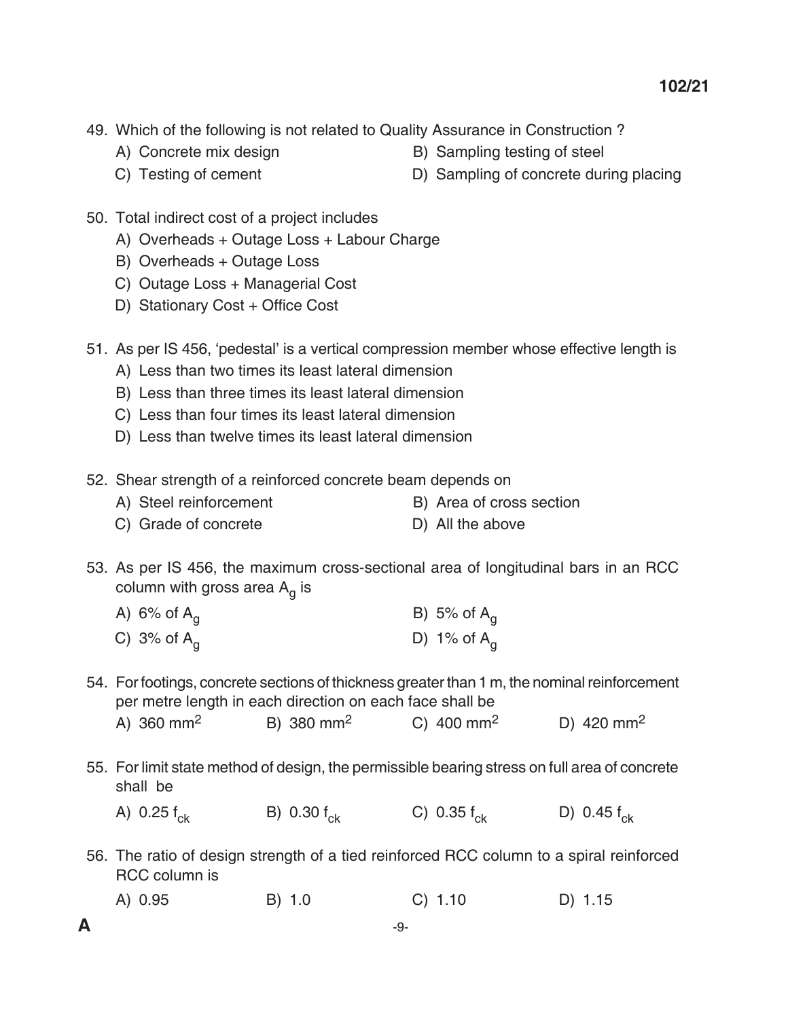- 49. Which of the following is not related to Quality Assurance in Construction ?
	-
	- A) Concrete mix design B B) Sampling testing of steel
	-
	- C) Testing of cement D) Sampling of concrete during placing
- 50. Total indirect cost of a project includes
	- A) Overheads + Outage Loss + Labour Charge
	- B) Overheads + Outage Loss
	- C) Outage Loss + Managerial Cost
	- D) Stationary Cost + Office Cost

51. As per IS 456, 'pedestal' is a vertical compression member whose effective length is

- A) less than two times its least lateral dimension
- B) less than three times its least lateral dimension
- C) less than four times its least lateral dimension
- D) Less than twelve times its least lateral dimension
- 52. Shear strength of a reinforced concrete beam depends on
	- A) Steel reinforcement B) Area of cross section
	- C) Grade of concrete D) All the above
- 53. As per IS 456, the maximum cross-sectional area of longitudinal bars in an RCC column with gross area  $A_g$  is

| A) 6% of $A_{\alpha}$ | B) 5% of $A_{\alpha}$ |
|-----------------------|-----------------------|
| C) 3% of $A_{\alpha}$ | D) 1% of $A_{q}$      |

- 54. For footings, concrete sections of thickness greater than 1 m, the nominal reinforcement per metre length in each direction on each face shall be A) 360 mm<sup>2</sup> B) 380 mm<sup>2</sup> C) 400 mm<sup>2</sup> D) 420 mm<sup>2</sup>
- 55. For limit state method of design, the permissible bearing stress on full area of concrete shall be

A) 0.25  $f_{ck}$  B) 0.30  $f_{ck}$  C) 0.35  $f_{ck}$  D) 0.45  $f_{ck}$ 

- 56. The ratio of design strength of a tied reinforced RCC column to a spiral reinforced RCC column is
- A) 0.95 B) 1.0 C) 1.10 D) 1.15
-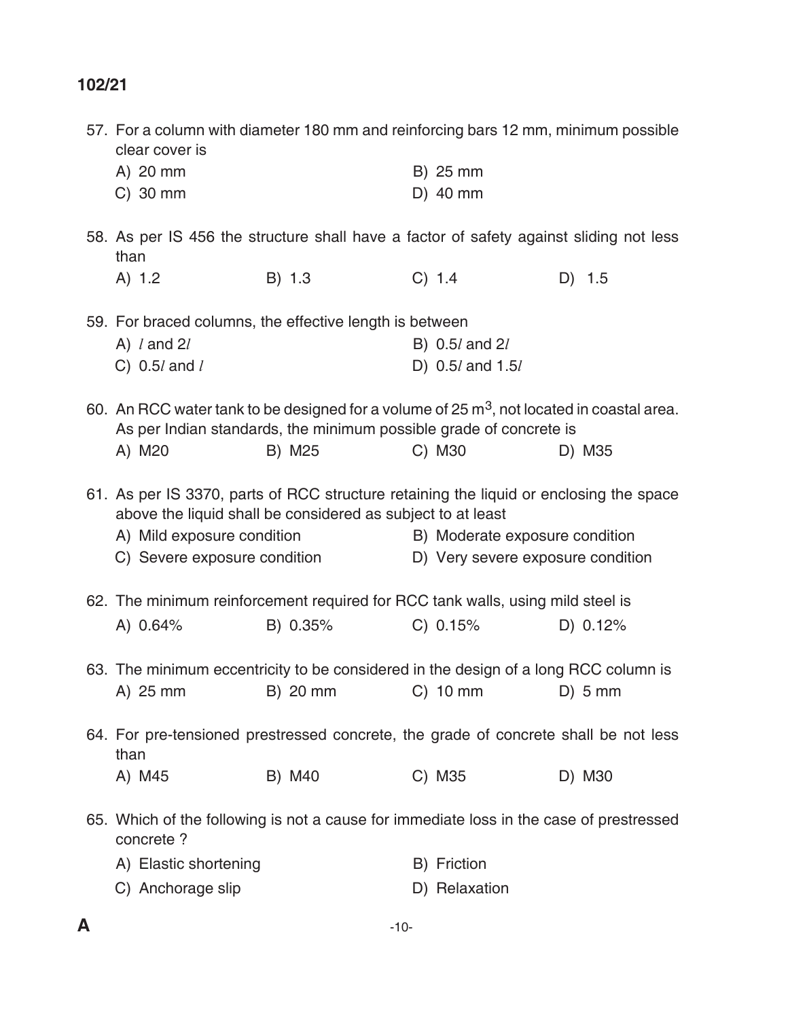| 57. For a column with diameter 180 mm and reinforcing bars 12 mm, minimum possible<br>clear cover is |                                                             |                                                                    |            |
|------------------------------------------------------------------------------------------------------|-------------------------------------------------------------|--------------------------------------------------------------------|------------|
| A) 20 mm                                                                                             |                                                             | B) 25 mm                                                           |            |
| C) 30 mm                                                                                             |                                                             | D) 40 mm                                                           |            |
| 58. As per IS 456 the structure shall have a factor of safety against sliding not less<br>than       |                                                             |                                                                    |            |
| A) 1.2                                                                                               | B) 1.3                                                      | C) 1.4                                                             | $D)$ 1.5   |
| 59. For braced columns, the effective length is between                                              |                                                             |                                                                    |            |
| A) $l$ and $2l$                                                                                      |                                                             | B) 0.5 <i>l</i> and 2 <i>l</i>                                     |            |
| C) $0.5l$ and $l$                                                                                    |                                                             | D) 0.5 <i>l</i> and 1.5 <i>l</i>                                   |            |
| 60. An RCC water tank to be designed for a volume of 25 $m3$ , not located in coastal area.          |                                                             | As per Indian standards, the minimum possible grade of concrete is |            |
| A) M20                                                                                               | B) M25                                                      | C) M30                                                             | D) M35     |
| 61. As per IS 3370, parts of RCC structure retaining the liquid or enclosing the space               | above the liquid shall be considered as subject to at least |                                                                    |            |
| A) Mild exposure condition                                                                           |                                                             | B) Moderate exposure condition                                     |            |
| C) Severe exposure condition                                                                         |                                                             | D) Very severe exposure condition                                  |            |
| 62. The minimum reinforcement required for RCC tank walls, using mild steel is                       |                                                             |                                                                    |            |
| A) 0.64%                                                                                             | B) 0.35%                                                    | C) 0.15%                                                           | D) $0.12%$ |
| 63. The minimum eccentricity to be considered in the design of a long RCC column is                  |                                                             |                                                                    |            |
|                                                                                                      |                                                             | A) 25 mm B) 20 mm C) 10 mm D) 5 mm                                 |            |
| 64. For pre-tensioned prestressed concrete, the grade of concrete shall be not less<br>than          |                                                             |                                                                    |            |
| A) M45                                                                                               | B) M40                                                      | C) M35                                                             | D) M30     |
| 65. Which of the following is not a cause for immediate loss in the case of prestressed<br>concrete? |                                                             |                                                                    |            |
| A) Elastic shortening                                                                                |                                                             | B) Friction                                                        |            |
| C) Anchorage slip                                                                                    |                                                             | D) Relaxation                                                      |            |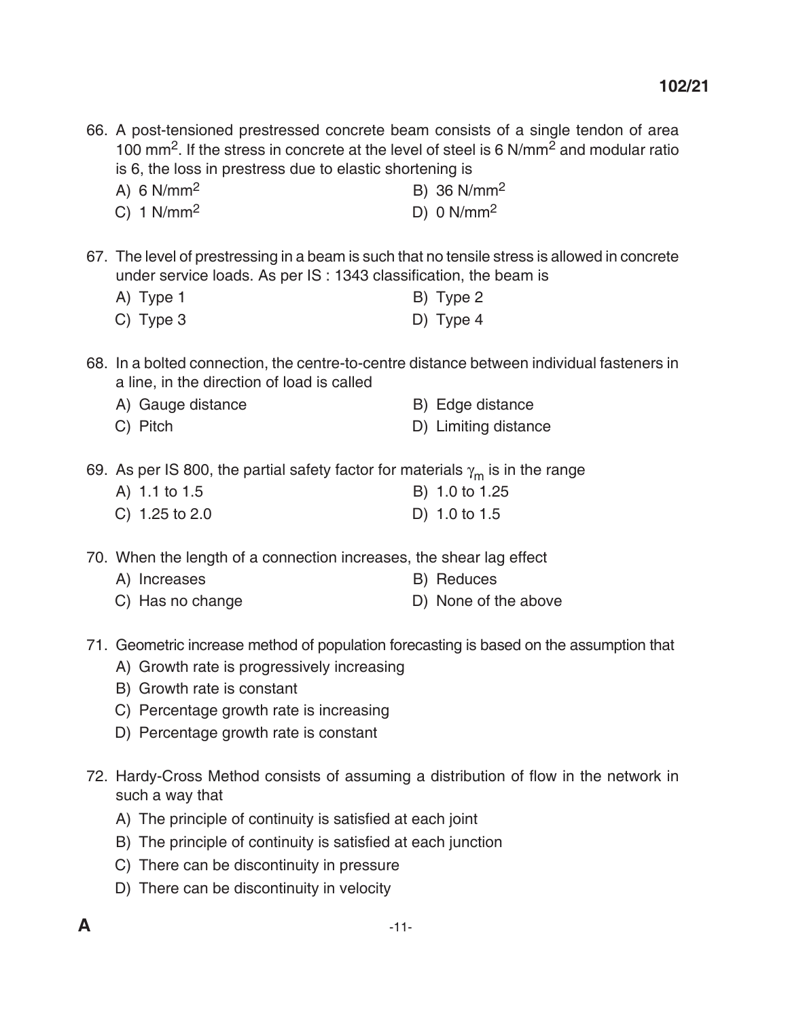66. A post-tensioned prestressed concrete beam consists of a single tendon of area 100 mm2. If the stress in concrete at the level of steel is 6 N/mm2 and modular ratio is 6, the loss in prestress due to elastic shortening is

- A) 6 N/mm<sup>2</sup> B) 36 N/mm<sup>2</sup>
- C)  $1 \text{ N/mm}^2$  D)  $0 \text{ N/mm}^2$

67. The level of prestressing in a beam is such that no tensile stress is allowed in concrete under service loads. As per IS : 1343 classification, the beam is

- A) Type 1 B) Type 2
- C) Type 3 D) Type 4
- 68. In a bolted connection, the centre-to-centre distance between individual fasteners in a line, in the direction of load is called
	- A) Gauge distance B) Edge distance C) Pitch **D**) Limiting distance
- 69. As per IS 800, the partial safety factor for materials  $\gamma_m$  is in the range
	- A) 1.1 to 1.5 B) 1.0 to 1.25 C) 1.25 to 2.0 D) 1.0 to 1.5

70. When the length of a connection increases, the shear lag effect

- A) Increases B) Reduces C) Has no change D) None of the above
- 71. Geometric increase method of population forecasting is based on the assumption that
	- A) Growth rate is progressively increasing
	- B) Growth rate is constant
	- C) Percentage growth rate is increasing
	- D) Percentage growth rate is constant
- 72. Hardy-Cross Method consists of assuming a distribution of flow in the network in such a way that
	- A) The principle of continuity is satisfied at each joint
	- B) The principle of continuity is satisfied at each junction
	- C) There can be discontinuity in pressure
	- D) There can be discontinuity in velocity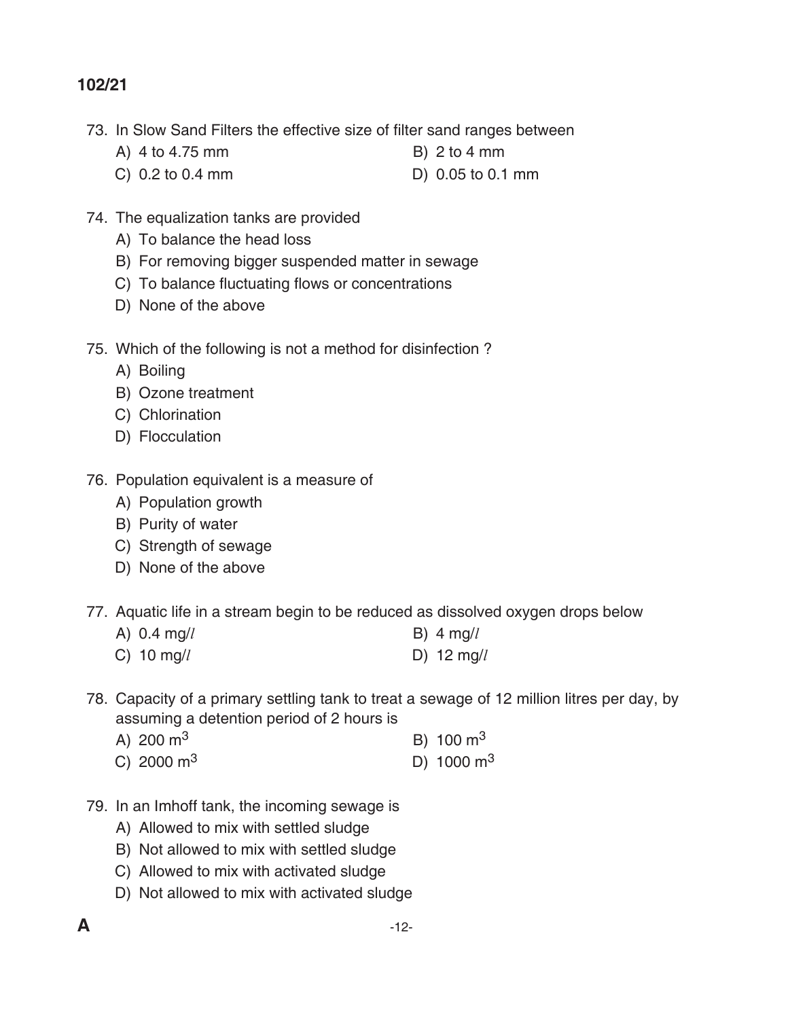- 73. In Slow Sand Filters the effective size of filter sand ranges between
	- A) 4 to 4.75 mm B) 2 to 4 mm
	- C) 0.2 to 0.4 mm D) 0.05 to 0.1 mm
- 74. The equalization tanks are provided
	- A) To balance the head loss
	- B) For removing bigger suspended matter in sewage
	- C) To balance fluctuating flows or concentrations
	- D) None of the above
- 75. Which of the following is not a method for disinfection ?
	- A) Boiling
	- B) Ozone treatment
	- C) Chlorination
	- D) Flocculation
- 76. Population equivalent is a measure of
	- A) Population growth
	- B) Purity of water
	- C) Strength of sewage
	- D) None of the above
- 77. Aquatic life in a stream begin to be reduced as dissolved oxygen drops below
	- A) 0.4 mg/*l* B) 4 mg/*l*
	- C) 10 mg/*l* d) 12 mg/*l*
- 78. Capacity of a primary settling tank to treat a sewage of 12 million litres per day, by assuming a detention period of 2 hours is

| A) 200 $m3$       | B) $100 \text{ m}^3$ |
|-------------------|----------------------|
| C) 2000 $\rm m^3$ | D) 1000 $\rm m^3$    |

- 79. In an Imhoff tank, the incoming sewage is
	- A) Allowed to mix with settled sludge
	- B) Not allowed to mix with settled sludge
	- C) Allowed to mix with activated sludge
	- D) Not allowed to mix with activated sludge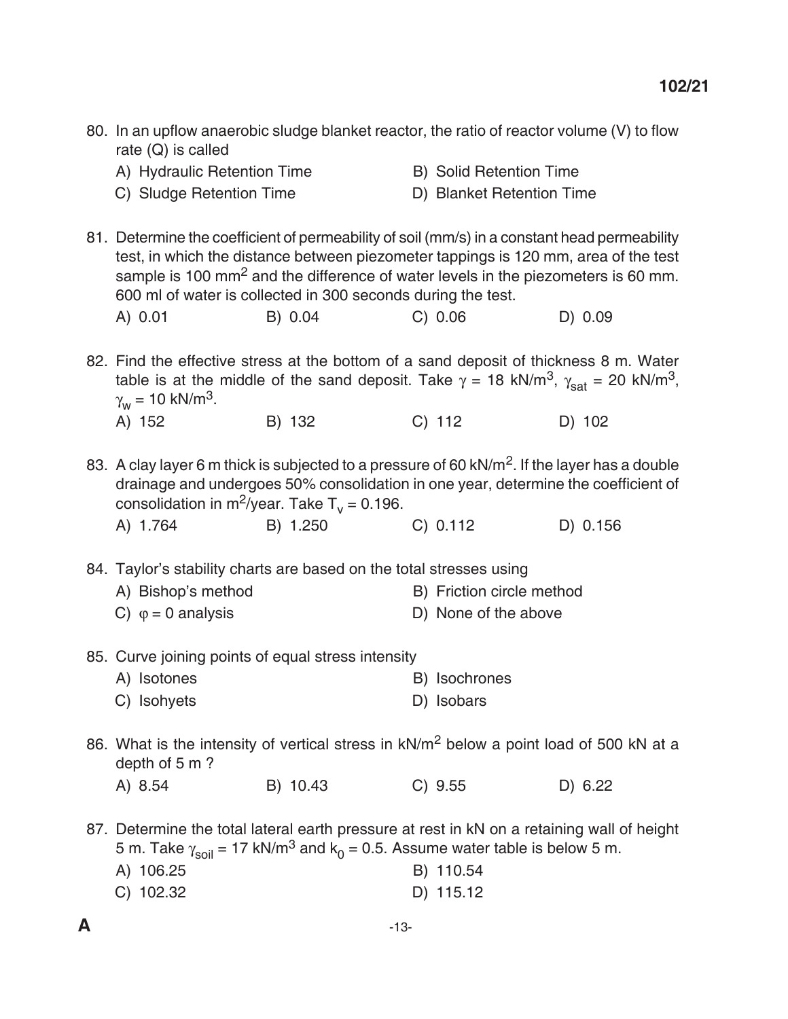| 80. In an upflow anaerobic sludge blanket reactor, the ratio of reactor volume (V) to flow<br>rate $(Q)$ is called                                                                   |          |                                                                                                                                                                                      |          |
|--------------------------------------------------------------------------------------------------------------------------------------------------------------------------------------|----------|--------------------------------------------------------------------------------------------------------------------------------------------------------------------------------------|----------|
| A) Hydraulic Retention Time                                                                                                                                                          |          | <b>B)</b> Solid Retention Time                                                                                                                                                       |          |
| C) Sludge Retention Time                                                                                                                                                             |          | D) Blanket Retention Time                                                                                                                                                            |          |
| 81. Determine the coefficient of permeability of soil (mm/s) in a constant head permeability<br>600 ml of water is collected in 300 seconds during the test.                         |          | test, in which the distance between piezometer tappings is 120 mm, area of the test<br>sample is 100 mm <sup>2</sup> and the difference of water levels in the piezometers is 60 mm. |          |
| A) 0.01                                                                                                                                                                              | B) 0.04  | C) 0.06                                                                                                                                                                              | D) 0.09  |
| 82. Find the effective stress at the bottom of a sand deposit of thickness 8 m. Water<br>$\gamma_w$ = 10 kN/m <sup>3</sup> .                                                         |          | table is at the middle of the sand deposit. Take $\gamma = 18$ kN/m <sup>3</sup> , $\gamma_{\text{sat}} = 20$ kN/m <sup>3</sup> ,                                                    |          |
| A) 152                                                                                                                                                                               | B) 132   | $C)$ 112                                                                                                                                                                             | D) 102   |
| 83. A clay layer 6 m thick is subjected to a pressure of 60 kN/m <sup>2</sup> . If the layer has a double<br>consolidation in m <sup>2</sup> /year. Take $T_v = 0.196$ .<br>A) 1.764 | B) 1.250 | drainage and undergoes 50% consolidation in one year, determine the coefficient of<br>C) 0.112                                                                                       | D) 0.156 |
|                                                                                                                                                                                      |          |                                                                                                                                                                                      |          |
| 84. Taylor's stability charts are based on the total stresses using                                                                                                                  |          |                                                                                                                                                                                      |          |
| A) Bishop's method                                                                                                                                                                   |          | B) Friction circle method                                                                                                                                                            |          |
| C) $\varphi = 0$ analysis                                                                                                                                                            |          | D) None of the above                                                                                                                                                                 |          |
| 85. Curve joining points of equal stress intensity                                                                                                                                   |          |                                                                                                                                                                                      |          |
| A) Isotones                                                                                                                                                                          |          | B) Isochrones                                                                                                                                                                        |          |
| C) Isohyets                                                                                                                                                                          |          | D) Isobars                                                                                                                                                                           |          |
| 86. What is the intensity of vertical stress in kN/m <sup>2</sup> below a point load of 500 kN at a<br>depth of 5 m?                                                                 |          |                                                                                                                                                                                      |          |
| A) 8.54                                                                                                                                                                              | B) 10.43 | C) 9.55                                                                                                                                                                              | D) 6.22  |
| 87. Determine the total lateral earth pressure at rest in kN on a retaining wall of height<br>A) 106.25<br>C) 102.32                                                                 |          | 5 m. Take $\gamma_{\text{solid}} = 17 \text{ kN/m}^3$ and $k_0 = 0.5$ . Assume water table is below 5 m.<br>B) 110.54<br>D) 115.12                                                   |          |
|                                                                                                                                                                                      |          |                                                                                                                                                                                      |          |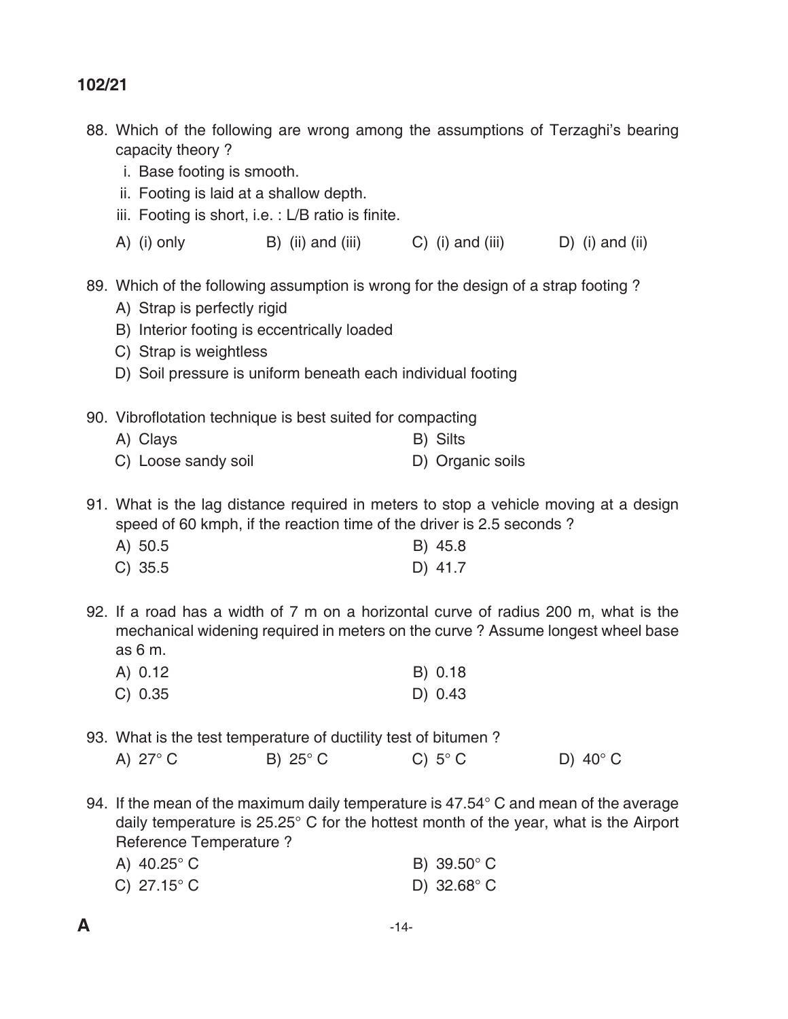- 88. Which of the following are wrong among the assumptions of Terzaghi's bearing capacity theory ?
	- i. Base footing is smooth.
	- ii. Footing is laid at a shallow depth.
	- iii. Footing is short, i.e. : L/B ratio is finite.
	- A) (i) only B) (ii) and (iii)  $C$ ) (i) and (iii)  $D$ ) (i) and (ii)
- 89. Which of the following assumption is wrong for the design of a strap footing ?
	- A) Strap is perfectly rigid
	- B) Interior footing is eccentrically loaded
	- C) Strap is weightless
	- D) Soil pressure is uniform beneath each individual footing
- 90. Vibroflotation technique is best suited for compacting
	- A) Clays B) Silts C) Loose sandy soil **D**) Organic soils
- 91. What is the lag distance required in meters to stop a vehicle moving at a design speed of 60 kmph, if the reaction time of the driver is 2.5 seconds ?
	- A) 50.5 B) 45.8 C) 35.5 D) 41.7
- 92. If a road has a width of 7 m on a horizontal curve of radius 200 m, what is the mechanical widening required in meters on the curve ? Assume longest wheel base as 6 m.
	- A) 0.12 B) 0.18 C) 0.35 D) 0.43

93. What is the test temperature of ductility test of bitumen ?

| B) $25^{\circ}$ C<br>A) 27 $\degree$ C | C) $5^{\circ}$ C | D) $40^{\circ}$ C |
|----------------------------------------|------------------|-------------------|
|----------------------------------------|------------------|-------------------|

94. If the mean of the maximum daily temperature is  $47.54^{\circ}$  C and mean of the average daily temperature is 25.25° C for the hottest month of the year, what is the Airport Reference Temperature ?

| A) $40.25^{\circ}$ C | B) 39.50°C           |
|----------------------|----------------------|
| C) $27.15^{\circ}$ C | D) $32.68^{\circ}$ C |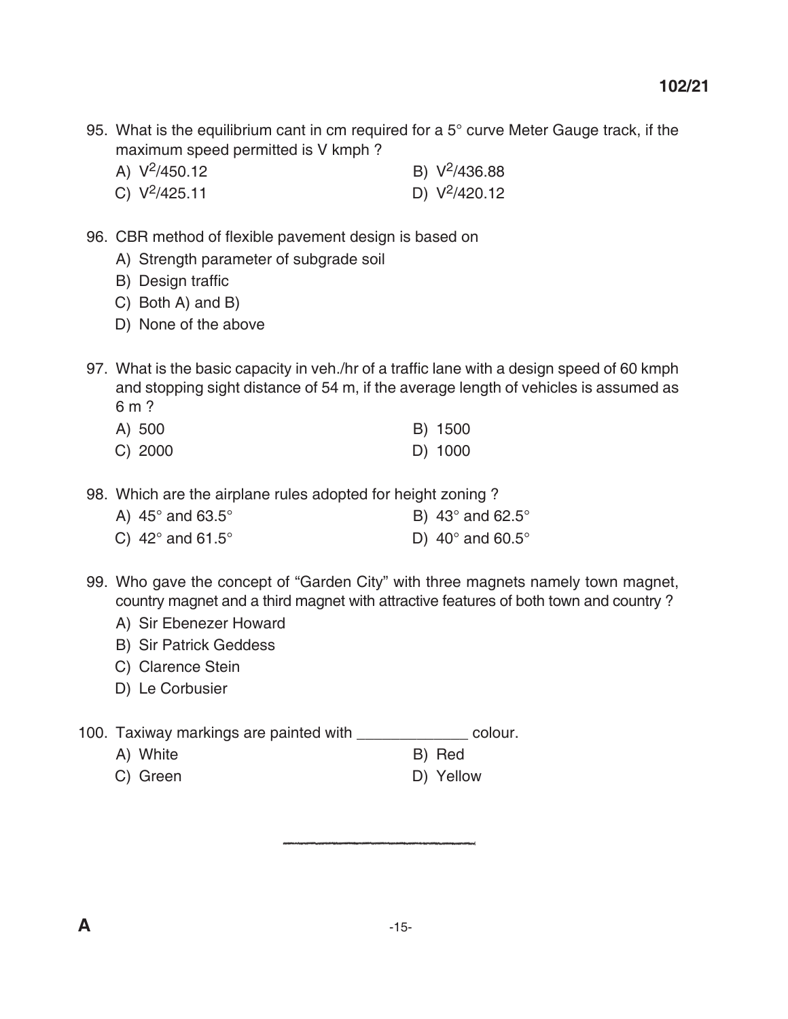- 95. What is the equilibrium cant in cm required for a  $5^\circ$  curve Meter Gauge track, if the maximum speed permitted is V kmph ?
	- A)  $V^2/450.12$  B)  $V^2/436.88$
	- C)  $V^2/425.11$  D)  $V^2/420.12$
- 96. CBR method of flexible pavement design is based on
	- A) Strength parameter of subgrade soil
	- B) Design traffic
	- C) Both A) and B)
	- D) None of the above
- 97. What is the basic capacity in veh./hr of a traffic lane with a design speed of 60 kmph and stopping sight distance of 54 m, if the average length of vehicles is assumed as 6 m ?
	- A) 500 B) 1500
	- C) 2000 D) 1000
- 98. Which are the airplane rules adopted for height zoning ?
	- A)  $45^\circ$  and  $63.5^\circ$  B)  $43^\circ$  and  $62.5^\circ$
	- C)  $42^\circ$  and  $61.5^\circ$  D)  $40^\circ$  and  $60.5^\circ$
- 99. Who gave the concept of "Garden City" with three magnets namely town magnet, country magnet and a third magnet with attractive features of both town and country ?
	- A) Sir Ebenezer Howard
	- B) Sir Patrick Geddess
	- C) Clarence Stein
	- D) Le Corbusier
- 100. Taxiway markings are painted with \_\_\_\_\_\_\_\_\_\_\_\_\_ colour.
	- A) White B) Red
	- C) Green D) Yellow
- -